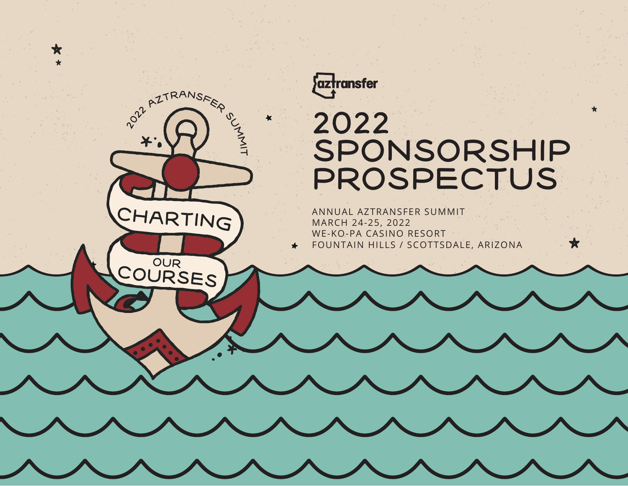

**POLITRANSFER** 

CHARTING

COURSES

★

 $\tilde{\phantom{a}}$  $\dashv$ 

# 2022 SPONSORSHIP PROSPECTUS

★

ANNUAL AZTRANSFER SUMMIT MARCH 24-25, 2022 WE-KO-PA CASINO RESORT FOUNTAIN HILLS / SCOTTSDALE, ARIZONA  $\bigstar$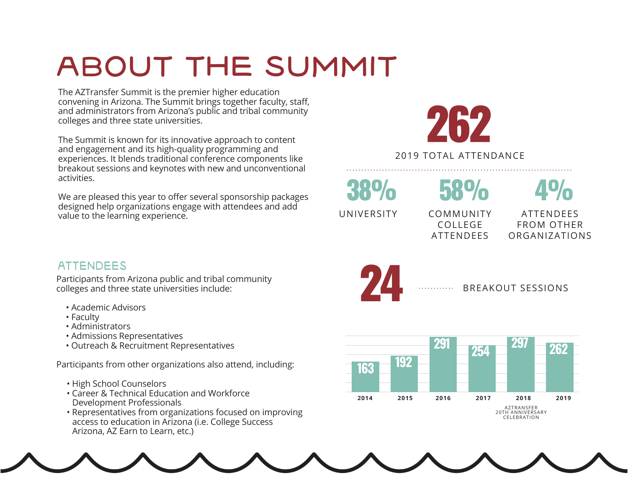# ABOUT THE SUMMIT

The AZTransfer Summit is the premier higher education convening in Arizona. The Summit brings together faculty, staff, and administrators from Arizona's public and tribal community colleges and three state universities.

The Summit is known for its innovative approach to content and engagement and its high-quality programming and experiences. It blends traditional conference components like breakout sessions and keynotes with new and unconventional activities.

We are pleased this year to offer several sponsorship packages designed help organizations engage with attendees and add value to the learning experience.

262

2019 TOTAL ATTENDANCE ............................................................................

38% 58%

UNIVERSITY COMMUNITY COLLEGE ATTENDEES

4%

ATTENDEES FROM OTHER ORGANIZATIONS

### **ATTENDEES**

Participants from Arizona public and tribal community colleges and three state universities include:

- Academic Advisors
- Faculty
- Administrators
- Admissions Representatives
- Outreach & Recruitment Representatives

Participants from other organizations also attend, including:

- High School Counselors
- Career & Technical Education and Workforce Development Professionals
- Representatives from organizations focused on improving access to education in Arizona (i.e. College Success Arizona, AZ Earn to Learn, etc.)



............



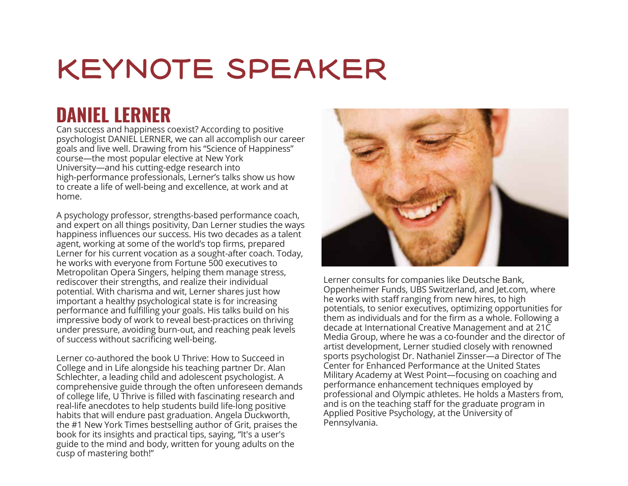# KEYNOTE SPEAKER

### **DANIEL LERNER**

Can success and happiness coexist? According to positive psychologist DANIEL LERNER, we can all accomplish our career goals and live well. Drawing from his "Science of Happiness" course—the most popular elective at New York University—and his cutting-edge research into high-performance professionals, Lerner's talks show us how to create a life of well-being and excellence, at work and at home.

A psychology professor, strengths-based performance coach, and expert on all things positivity, Dan Lerner studies the ways happiness influences our success. His two decades as a talent agent, working at some of the world's top firms, prepared Lerner for his current vocation as a sought-after coach. Today, he works with everyone from Fortune 500 executives to Metropolitan Opera Singers, helping them manage stress, rediscover their strengths, and realize their individual potential. With charisma and wit, Lerner shares just how important a healthy psychological state is for increasing performance and fulfilling your goals. His talks build on his impressive body of work to reveal best-practices on thriving under pressure, avoiding burn-out, and reaching peak levels of success without sacrificing well-being.

Lerner co-authored the book U Thrive: How to Succeed in College and in Life alongside his teaching partner Dr. Alan Schlechter, a leading child and adolescent psychologist. A comprehensive guide through the often unforeseen demands of college life, U Thrive is filled with fascinating research and real-life anecdotes to help students build life-long positive habits that will endure past graduation. Angela Duckworth, the #1 New York Times bestselling author of Grit, praises the book for its insights and practical tips, saying, "It's a user's guide to the mind and body, written for young adults on the cusp of mastering both!"



Lerner consults for companies like Deutsche Bank, Oppenheimer Funds, UBS Switzerland, and Jet.com, where he works with staff ranging from new hires, to high potentials, to senior executives, optimizing opportunities for them as individuals and for the firm as a whole. Following a decade at International Creative Management and at 21C Media Group, where he was a co-founder and the director of artist development, Lerner studied closely with renowned sports psychologist Dr. Nathaniel Zinsser—a Director of The Center for Enhanced Performance at the United States Military Academy at West Point—focusing on coaching and performance enhancement techniques employed by professional and Olympic athletes. He holds a Masters from, and is on the teaching staff for the graduate program in Applied Positive Psychology, at the University of Pennsylvania.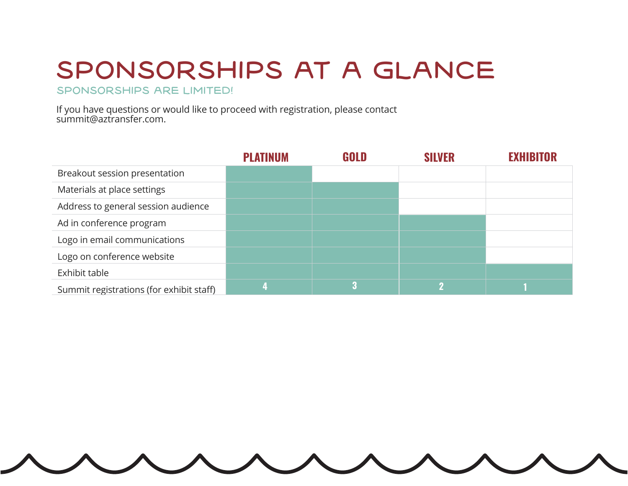# SPONSORSHIPS AT A GLANCE

SPONSORSHIPS ARE LIMITED!

If you have questions or would like to proceed with registration, please contact summit@aztransfer.com.

|                                          | <b>PLATINUM</b> | GOLD | <b>SILVER</b> | <b>EXHIBITOR</b> |
|------------------------------------------|-----------------|------|---------------|------------------|
| Breakout session presentation            |                 |      |               |                  |
| Materials at place settings              |                 |      |               |                  |
| Address to general session audience      |                 |      |               |                  |
| Ad in conference program                 |                 |      |               |                  |
| Logo in email communications             |                 |      |               |                  |
| Logo on conference website               |                 |      |               |                  |
| Exhibit table                            |                 |      |               |                  |
| Summit registrations (for exhibit staff) |                 |      |               |                  |

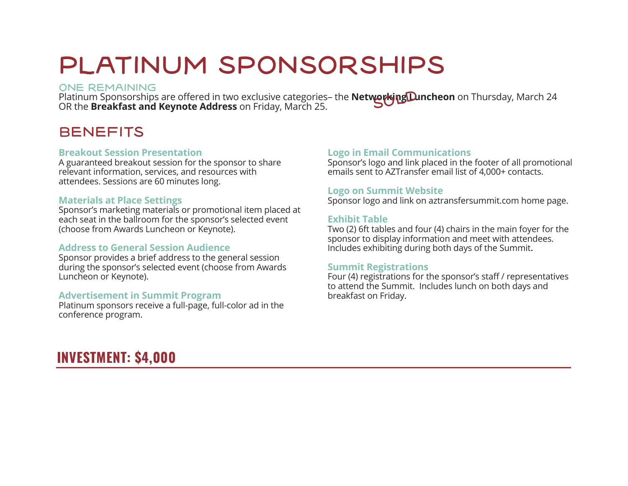### PLATINUM SPONSORSHIPS

#### ONE REMAINING

Platinum Sponsorships are offered in two exclusive categories– the **Networking Duncheon** on Thursday, March 24<br>OR the **Breakfast and Kevnote Address** on Friday, March 25 OR the **Breakfast and Keynote Address** on Friday, March 25.

### **BENEFITS**

#### **Breakout Session Presentation**

A guaranteed breakout session for the sponsor to share relevant information, services, and resources with attendees. Sessions are 60 minutes long.

#### **Materials at Place Settings**

Sponsor's marketing materials or promotional item placed at each seat in the ballroom for the sponsor's selected event (choose from Awards Luncheon or Keynote).

#### **Address to General Session Audience**

Sponsor provides a brief address to the general session during the sponsor's selected event (choose from Awards Luncheon or Keynote).

#### **Advertisement in Summit Program**

Platinum sponsors receive a full-page, full-color ad in the conference program.

#### **Logo in Email Communications**

Sponsor's logo and link placed in the footer of all promotional emails sent to AZTransfer email list of 4,000+ contacts.

#### **Logo on Summit Website**

Sponsor logo and link on aztransfersummit.com home page.

#### **Exhibit Table**

Two (2) 6ft tables and four (4) chairs in the main foyer for the sponsor to display information and meet with attendees. Includes exhibiting during both days of the Summit.

#### **Summit Registrations**

Four (4) registrations for the sponsor's staff / representatives to attend the Summit. Includes lunch on both days and breakfast on Friday.

### **INVESTMENT: \$4,000**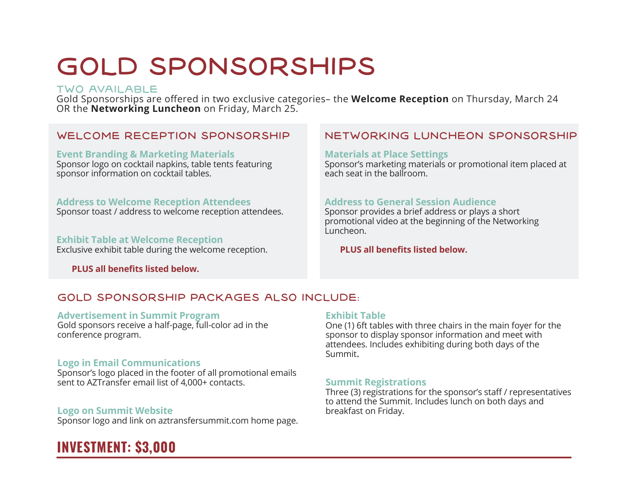# GOLD SPONSORSHIPS

#### TWO AVAILABLE

Gold Sponsorships are offered in two exclusive categories– the **Welcome Reception** on Thursday, March 24 OR the **Networking Luncheon** on Friday, March 25.

**Event Branding & Marketing Materials** Sponsor logo on cocktail napkins, table tents featuring sponsor information on cocktail tables.

#### **Address to Welcome Reception Attendees**

Sponsor toast / address to welcome reception attendees.

#### **Exhibit Table at Welcome Reception**

Exclusive exhibit table during the welcome reception.

 **PLUS all benefits listed below.**

#### WELCOME RECEPTION SPONSORSHIP NETWORKING LUNCHEON SPONSORSHIP

#### **Materials at Place Settings**

Sponsor's marketing materials or promotional item placed at each seat in the ballroom.

#### **Address to General Session Audience**

Sponsor provides a brief address or plays a short promotional video at the beginning of the Networking Luncheon.

#### **PLUS all benefits listed below.**

#### GOLD SPONSORSHIP PACKAGES ALSO INCLUDE:

#### **Advertisement in Summit Program**

Gold sponsors receive a half-page, full-color ad in the conference program.

#### **Logo in Email Communications**

Sponsor's logo placed in the footer of all promotional emails sent to AZTransfer email list of 4,000+ contacts.

#### **Logo on Summit Website**

Sponsor logo and link on aztransfersummit.com home page.

### **INVESTMENT: \$3,000**

#### **Exhibit Table**

One (1) 6ft tables with three chairs in the main foyer for the sponsor to display sponsor information and meet with attendees. Includes exhibiting during both days of the Summit.

#### **Summit Registrations**

Three (3) registrations for the sponsor's staff / representatives to attend the Summit. Includes lunch on both days and breakfast on Friday.